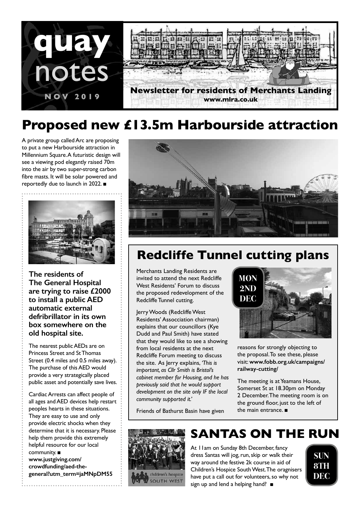

# **Proposed new £13.5m Harbourside attraction**

A private group called Arc are proposing to put a new Harbourside attraction in Millennium Square. A futuristic design will see a viewing pod elegantly raised 70m into the air by two super-strong carbon fibre masts. It will be solar powered and reportedly due to launch in 2022. ■



**The residents of The General Hospital are trying to raise £2000 to install a public AED automatic external defribrillator in its own box somewhere on the old hospital site.**

The nearest public AEDs are on Princess Street and St Thomas Street (0.4 miles and 0.5 miles away). The purchase of this AED would provide a very strategically placed public asset and potentially save lives.

Cardiac Arrests can affect people of all ages and AED devices help restart peoples hearts in these situations. They are easy to use and only provide electric shocks when they determine that it is necessary. Please help them provide this extremely helpful resource for our local community. ■

**www.justgiving.com/ crowdfunding/aed-thegeneral?utm\_term=jaMNpDM55**



## **Redcliffe Tunnel cutting plans**

Merchants Landing Residents are invited to attend the next Redcliffe West Residents' Forum to discuss the proposed redevelopment of the Redcliffe Tunnel cutting.

Jerry Woods (Redcliffe West Residents' Assocciation chairman) explains that our councillors (Kye Dudd and Paul Smith) have stated that they would like to see a showing from local residents at the next Redcliffe Forum meeting to discuss the site. As Jerry explains, *'This is important, as Cllr Smith is Bristol's cabinet member for Housing, and he has previously said that he would support development on the site only IF the local community supported it.'*



reasons for strongly objecting to the proposal. To see these, please visit: **www.fobb.org.uk/campaigns/ railway-cutting/**

The meeting is at Yeamans House, Somerset St at 18.30pm on Monday 2 December. The meeting room is on the ground floor, just to the left of the main entrance. ■

Friends of Bathurst Basin have given



# **SANTAS ON THE RUN**

At 11am on Sunday 8th December, fancy dress Santas will jog, run, skip or walk their way around the festive 2k course in aid of Children's Hospice South West. The oragnisers have put a call out for volunteers, so why not sign up and lend a helping hand? ■